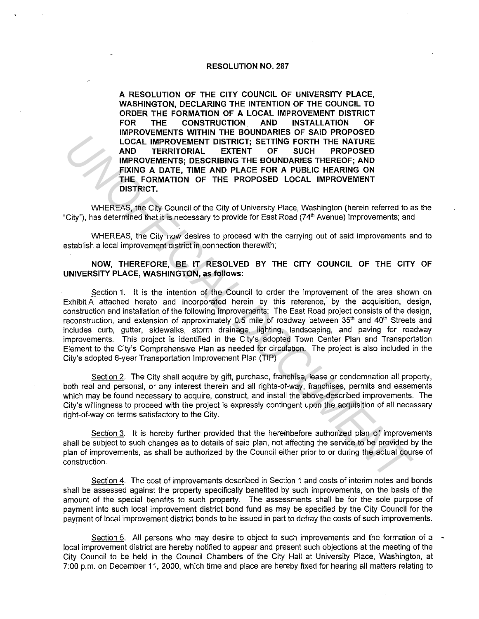## **RESOLUTION NO. 287**

**A RESOLUTION OF THE CITY COUNCIL OF UNIVERSITY PLACE, WASHINGTON, DECLARING THE INTENTION OF THE COUNCIL TO ORDER THE FORMATION OF A LOCAL IMPROVEMENT DISTRICT FOR THE CONSTRUCTION AND INSTALLATION OF IMPROVEMENTS WITHIN THE BOUNDARIES OF SAID PROPOSED LOCAL IMPROVEMENT DISTRICT; SETTING FORTH THE NATURE AND TERRITORIAL EXTENT OF SUCH PROPOSED IMPROVEMENTS; DESCRIBING THE BOUNDARIES THEREOF; AND ,FIXING A DATE, TIME AND PLACE FOR A PUBLIC HEARING ON THE FORMATION OF THE PROPOSED LOCAL IMPROVEMENT DISTRICT.** 

WHEREAS, the City Council of the City of University Place, Washington (herein referred to as the "City"), has determined that it is necessary to provide for East Road (74<sup>th</sup> Avenue) Improvements; and

WHEREAS, the City now desires to proceed with the carrying out of said improvements and to establish a local improvement district in connection therewith;

## **NOW, THEREFORE, BE IT RESOLVED BY THE CITY COUNCIL OF THE CITY OF .UNIVERSITY PLACE, WASHINGTON, as follows:**

Section 1, It is the intention of the Council to order the improvement of the area shown on Exhibit A attached hereto and incorporated herein by this reference, by the acquisition, design, construction and installation of the following improvements: The East Road project consists of the design, reconstruction, and extension of approximately 0.5 mile of roadway between 35<sup>th</sup> and 40<sup>th</sup> Streets and includes curb, gutter, sidewalks, storm drainage, lighting, landscaping, and paving for roadway improvements. This project is identified in the City's adopted Town Center Plan and Transportation Element to the City's Comprehensive Plan as needed for circulation, The project is also included in the City's adopted 6-year Transportation Improvement Plan (TIP). **UNIVERSITY PLACE, WASHINGTON, as follows:**<br> **AND TERRITORIAL DEPTENDATION CONTINUES AND TERRITORY AND SUCH THE MATURE AND TERRITORIZE THEREOF, AND TERRITORIZED MPROVEMENTS, DESCRIBING THE PROPOSED LOCAL IMPROVEMENTS (DRIG** 

Section 2. The City shall acquire by gift, purchase, franchise, lease or condemnation all property, both real and personal, or any interest therein and all rights-of-way, franchises, permits and easements which may be found necessary to acquire, construct, and install the above-described improvements, The City's willingness to proceed with the project is expressly contingent upon the acquisition of all necessary right-of-way on terms satisfactory to the City.

Section 3, It is hereby further provided that the hereinbefore authorized plan of improvements shall be subject to such changes as to details of said plan, not affecting the service to be provided by the plan of improvements, as shall be authorized by the Council either prior to or during the actual course of construction,

Section 4, The cost of improvements described in Section 1 and costs of interim notes and bonds shall be assessed against the property specifically benefited by such improvements, on the basis of the amount of the special benefits to such property, The assessments shall be for the sole purpose of payment into such local improvement district bond fund as may be specified by the City Council for the payment of local improvement district bonds to be issued in part to defray the costs of such improvements,

Section 5. All persons who may desire to object to such improvements and the formation of a local improvement district are hereby notified to appear and present such objections at the meeting of the City Council to be held in the Council Chambers of the City Hall at University Place, Washington, at 7:00 p,m, on December 11, 2000, which time and place are hereby fixed for hearing all matters relating to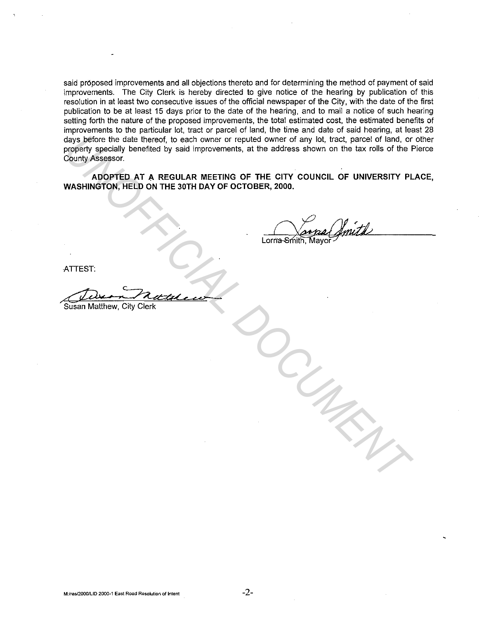said proposed improvements and all objections thereto and for determining the method of payment of said improvements. The City Clerk is hereby directed to give notice of the hearing by publication of this resolution in at least two consecutive issues of the official newspaper of the City, with the date of the first publication to be at least 15 days prior to the date of the hearing, and to mail a notice of such hearing setting forth the nature of the proposed improvements, the total estimated cost, the estimated benefits of improvements to the particular lot, tract or parcel of land, the time and date of said hearing, at least 28 days before the date thereof, to each owner or reputed owner of any lot, tract, parcel of land, or other property specially benefited by said improvements, at the address shown on the tax rolls of the Pierce County Assessor. **Example of the data thereof, to each owner or reputed owner of any lot, tract, parcel of tand, or property specially benefited by said improvements, at the address shown on the tax rolls of the Found MSSESSOR.**<br> **NOOPTED** 

**ADOPTED AT A REGULAR MEETING OF THE CITY COUNCIL OF UNIVERSITY PLACE, WASHINGTON, HELD ON THE JOTH DAY OF OCTOBER, 2000.** 

-ATTEST:

Jeven Noteleu

Susan Matthew, City Clerk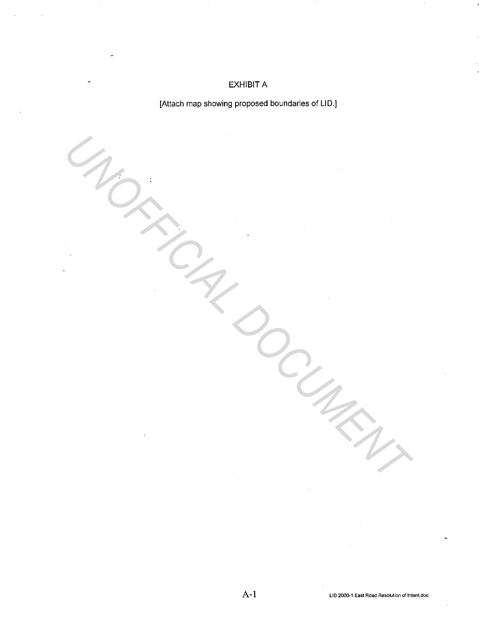## EXHIBIT A

[Attach map showing proposed boundaries of LID.]

UNOFFICIAL DOCUMENT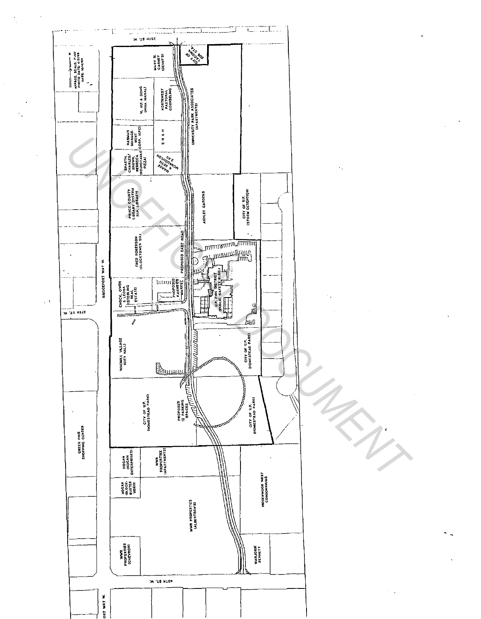

 $\epsilon$  .

 $\hat{\hat{\mathbf{v}}}_{i}$